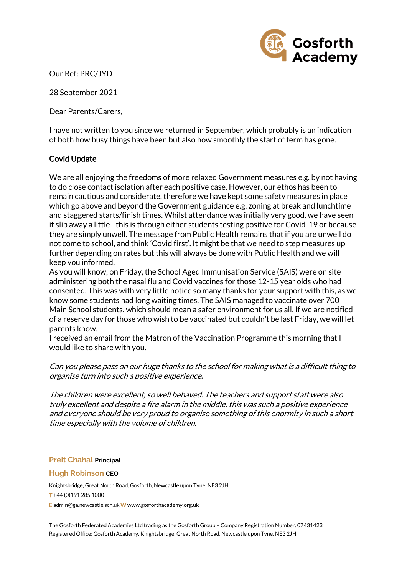

Our Ref: PRC/JYD

28 September 2021

Dear Parents/Carers,

I have not written to you since we returned in September, which probably is an indication of both how busy things have been but also how smoothly the start of term has gone.

## Covid Update

We are all enjoying the freedoms of more relaxed Government measures e.g. by not having to do close contact isolation after each positive case. However, our ethos has been to remain cautious and considerate, therefore we have kept some safety measures in place which go above and beyond the Government guidance e.g. zoning at break and lunchtime and staggered starts/finish times. Whilst attendance was initially very good, we have seen it slip away a little - this is through either students testing positive for Covid-19 or because they are simply unwell. The message from Public Health remains that if you are unwell do not come to school, and think 'Covid first'. It might be that we need to step measures up further depending on rates but this will always be done with Public Health and we will keep you informed.

As you will know, on Friday, the School Aged Immunisation Service (SAIS) were on site administering both the nasal flu and Covid vaccines for those 12-15 year olds who had consented. This was with very little notice so many thanks for your support with this, as we know some students had long waiting times. The SAIS managed to vaccinate over 700 Main School students, which should mean a safer environment for us all. If we are notified of a reserve day for those who wish to be vaccinated but couldn't be last Friday, we will let parents know.

I received an email from the Matron of the Vaccination Programme this morning that I would like to share with you.

## Can you please pass on our huge thanks to the school for making what is a difficult thing to organise turn into such a positive experience.

The children were excellent, so well behaved. The teachers and support staff were also truly excellent and despite a fire alarm in the middle, this was such a positive experience and everyone should be very proud to organise something of this enormity in such a short time especially with the volume of children.

#### **Preit Chahal Principal**

#### **Hugh Robinson CEO**

Knightsbridge, Great North Road, Gosforth, Newcastle upon Tyne, NE3 2JH T +44 (0)191 285 1000 E admin@ga.newcastle.sch.uk W [www.gosforthacademy.org.uk](http://www.gosforthacademy.org.uk/)

The Gosforth Federated Academies Ltd trading as the Gosforth Group – Company Registration Number: 07431423 Registered Office: Gosforth Academy, Knightsbridge, Great North Road, Newcastle upon Tyne, NE3 2JH